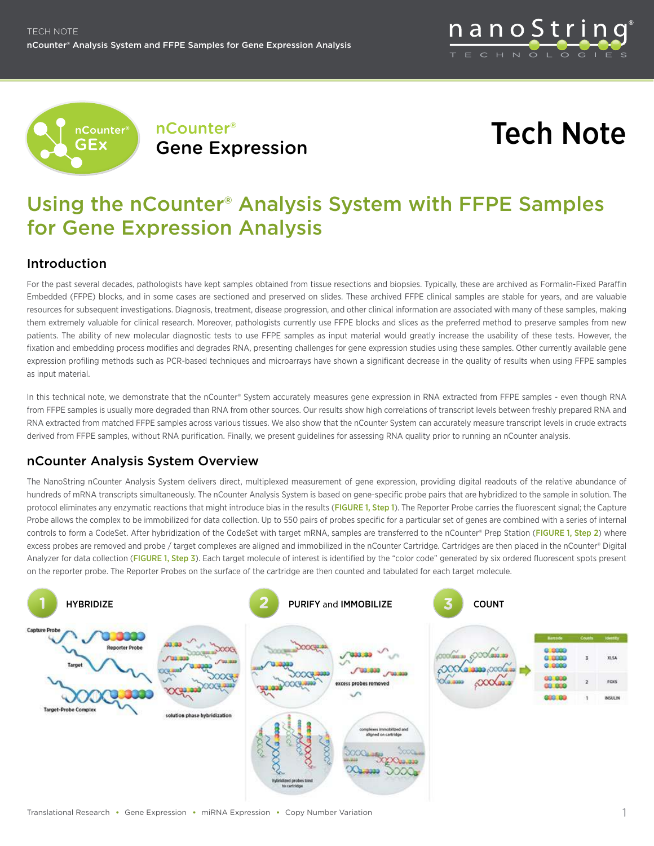





# Using the nCounter® Analysis System with FFPE Samples for Gene Expression Analysis

# Introduction

For the past several decades, pathologists have kept samples obtained from tissue resections and biopsies. Typically, these are archived as Formalin-Fixed Paraffin Embedded (FFPE) blocks, and in some cases are sectioned and preserved on slides. These archived FFPE clinical samples are stable for years, and are valuable resources for subsequent investigations. Diagnosis, treatment, disease progression, and other clinical information are associated with many of these samples, making them extremely valuable for clinical research. Moreover, pathologists currently use FFPE blocks and slices as the preferred method to preserve samples from new patients. The ability of new molecular diagnostic tests to use FFPE samples as input material would greatly increase the usability of these tests. However, the fixation and embedding process modifies and degrades RNA, presenting challenges for gene expression studies using these samples. Other currently available gene expression profiling methods such as PCR-based techniques and microarrays have shown a significant decrease in the quality of results when using FFPE samples as input material.

In this technical note, we demonstrate that the nCounter® System accurately measures gene expression in RNA extracted from FFPE samples - even though RNA from FFPE samples is usually more degraded than RNA from other sources. Our results show high correlations of transcript levels between freshly prepared RNA and RNA extracted from matched FFPE samples across various tissues. We also show that the nCounter System can accurately measure transcript levels in crude extracts derived from FFPE samples, without RNA purification. Finally, we present guidelines for assessing RNA quality prior to running an nCounter analysis.

# nCounter Analysis System Overview

The NanoString nCounter Analysis System delivers direct, multiplexed measurement of gene expression, providing digital readouts of the relative abundance of hundreds of mRNA transcripts simultaneously. The nCounter Analysis System is based on gene-specific probe pairs that are hybridized to the sample in solution. The protocol eliminates any enzymatic reactions that might introduce bias in the results (FIGURE 1, Step 1). The Reporter Probe carries the fluorescent signal; the Capture Probe allows the complex to be immobilized for data collection. Up to 550 pairs of probes specific for a particular set of genes are combined with a series of internal controls to form a CodeSet. After hybridization of the CodeSet with target mRNA, samples are transferred to the nCounter® Prep Station (FIGURE 1, Step 2) where excess probes are removed and probe / target complexes are aligned and immobilized in the nCounter Cartridge. Cartridges are then placed in the nCounter® Digital Analyzer for data collection (FIGURE 1, Step 3). Each target molecule of interest is identified by the "color code" generated by six ordered fluorescent spots present on the reporter probe. The Reporter Probes on the surface of the cartridge are then counted and tabulated for each target molecule.

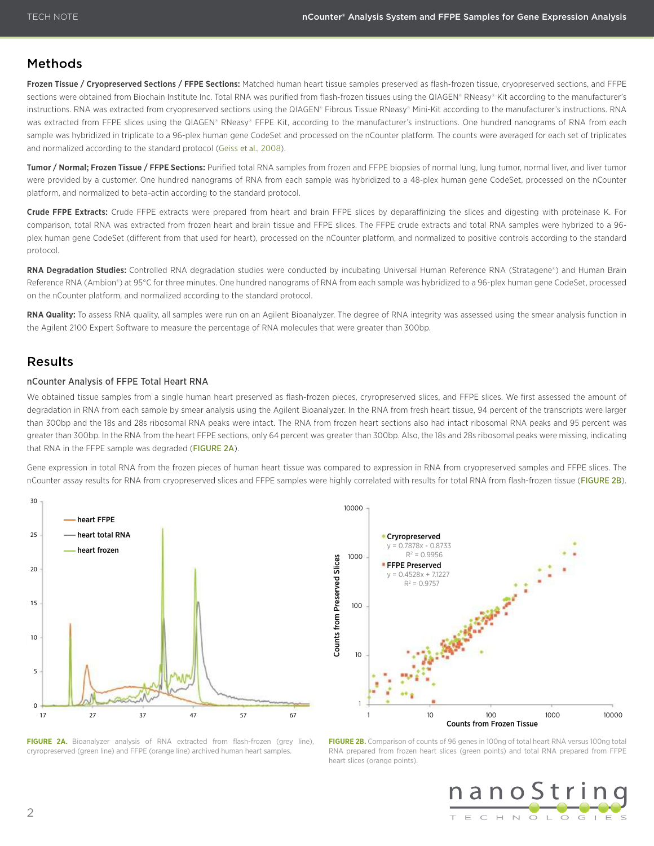## Methods

**Frozen Tissue / Cryopreserved Sections / FFPE Sections:** Matched human heart tissue samples preserved as flash-frozen tissue, cryopreserved sections, and FFPE sections were obtained from Biochain Institute Inc. Total RNA was purified from flash-frozen tissues using the QIAGEN® RNeasy® Kit according to the manufacturer's instructions. RNA was extracted from cryopreserved sections using the QIAGEN® Fibrous Tissue RNeasy® Mini-Kit according to the manufacturer's instructions. RNA was extracted from FFPE slices using the QIAGEN® RNeasy® FFPE Kit, according to the manufacturer's instructions. One hundred nanograms of RNA from each sample was hybridized in triplicate to a 96-plex human gene CodeSet and processed on the nCounter platform. The counts were averaged for each set of triplicates and normalized according to the standard protocol (Geiss et al., 2008).

**Tumor / Normal; Frozen Tissue / FFPE Sections:** Purified total RNA samples from frozen and FFPE biopsies of normal lung, lung tumor, normal liver, and liver tumor were provided by a customer. One hundred nanograms of RNA from each sample was hybridized to a 48-plex human gene CodeSet, processed on the nCounter platform, and normalized to beta-actin according to the standard protocol.

**Crude FFPE Extracts:** Crude FFPE extracts were prepared from heart and brain FFPE slices by deparaffinizing the slices and digesting with proteinase K. For comparison, total RNA was extracted from frozen heart and brain tissue and FFPE slices. The FFPE crude extracts and total RNA samples were hybrized to a 96 plex human gene CodeSet (different from that used for heart), processed on the nCounter platform, and normalized to positive controls according to the standard protocol.

**RNA Degradation Studies:** Controlled RNA degradation studies were conducted by incubating Universal Human Reference RNA (Stratagene®) and Human Brain Reference RNA (Ambion®) at 95°C for three minutes. One hundred nanograms of RNA from each sample was hybridized to a 96-plex human gene CodeSet, processed on the nCounter platform, and normalized according to the standard protocol.

**RNA Quality:** To assess RNA quality, all samples were run on an Agilent Bioanalyzer. The degree of RNA integrity was assessed using the smear analysis function in the Agilent 2100 Expert Software to measure the percentage of RNA molecules that were greater than 300bp.

## **Results**

#### nCounter Analysis of FFPE Total Heart RNA

We obtained tissue samples from a single human heart preserved as flash-frozen pieces, cryropreserved slices, and FFPE slices. We first assessed the amount of degradation in RNA from each sample by smear analysis using the Agilent Bioanalyzer. In the RNA from fresh heart tissue, 94 percent of the transcripts were larger than 300bp and the 18s and 28s ribosomal RNA peaks were intact. The RNA from frozen heart sections also had intact ribosomal RNA peaks and 95 percent was greater than 300bp. In the RNA from the heart FFPE sections, only 64 percent was greater than 300bp. Also, the 18s and 28s ribosomal peaks were missing, indicating that RNA in the FFPE sample was degraded (FIGURE 2A).

Gene expression in total RNA from the frozen pieces of human heart tissue was compared to expression in RNA from cryopreserved samples and FFPE slices. The nCounter assay results for RNA from cryopreserved slices and FFPE samples were highly correlated with results for total RNA from flash-frozen tissue (FIGURE 2B).



FIGURE 2A. Bioanalyzer analysis of RNA extracted from flash-frozen (grey line), cryropreserved (green line) and FFPE (orange line) archived human heart samples.



**FIGURE 2B.** Comparison of counts of 96 genes in 100ng of total heart RNA versus 100ng total RNA prepared from frozen heart slices (green points) and total RNA prepared from FFPE heart slices (orange points).

nanoStrino T E C H N O L O G I E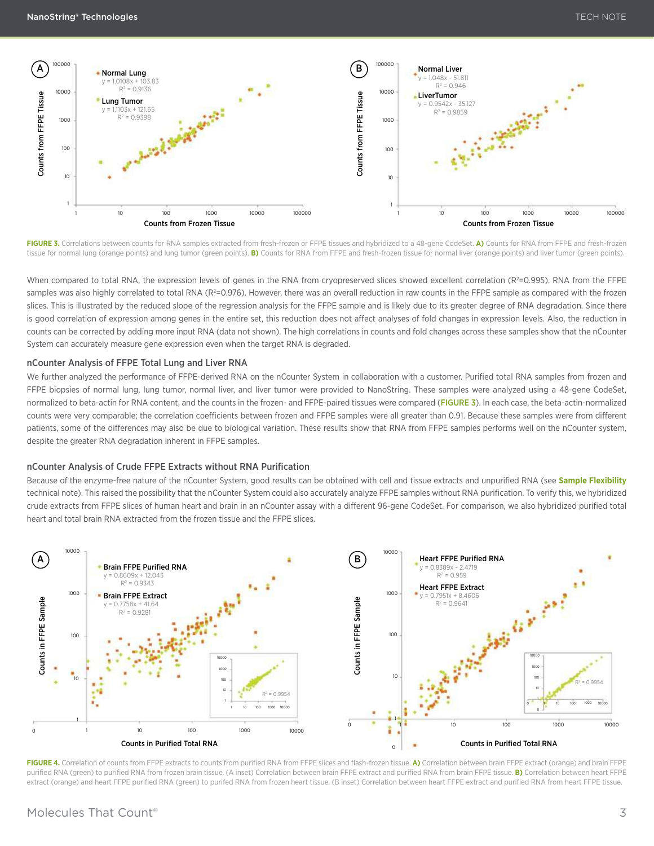

**FIGURE 3.** Correlations between counts for RNA samples extracted from fresh-frozen or FFPE tissues and hybridized to a 48-gene CodeSet. **A)** Counts for RNA from FFPE and fresh-frozen tissue for normal lung (orange points) and lung tumor (green points). **B)** Counts for RNA from FFPE and fresh-frozen tissue for normal liver (orange points) and liver tumor (green points).

When compared to total RNA, the expression levels of genes in the RNA from cryopreserved slices showed excellent correlation (R<sup>2</sup>=0.995). RNA from the FFPE samples was also highly correlated to total RNA (R<sup>2</sup>=0.976). However, there was an overall reduction in raw counts in the FFPE sample as compared with the frozen slices. This is illustrated by the reduced slope of the regression analysis for the FFPE sample and is likely due to its greater degree of RNA degradation. Since there is good correlation of expression among genes in the entire set, this reduction does not affect analyses of fold changes in expression levels. Also, the reduction in counts can be corrected by adding more input RNA (data not shown). The high correlations in counts and fold changes across these samples show that the nCounter System can accurately measure gene expression even when the target RNA is degraded.

#### nCounter Analysis of FFPE Total lung and liver RNA

We further analyzed the performance of FFPE-derived RNA on the nCounter System in collaboration with a customer. Purified total RNA samples from frozen and FFPE biopsies of normal lung, lung tumor, normal liver, and liver tumor were provided to NanoString. These samples were analyzed using a 48-gene CodeSet, normalized to beta-actin for RNA content, and the counts in the frozen- and FFPE-paired tissues were compared (FIGURE 3). In each case, the beta-actin-normalized counts were very comparable; the correlation coefficients between frozen and FFPE samples were all greater than 0.91. Because these samples were from different patients, some of the differences may also be due to biological variation. These results show that RNA from FFPE samples performs well on the nCounter system, despite the greater RNA degradation inherent in FFPE samples.

#### nCounter Analysis of Crude FFPE Extracts without RNA Purification

Because of the enzyme-free nature of the nCounter System, good results can be obtained with cell and tissue extracts and unpurified RNA (see **[Sample Flexibility](http://www.nanostring.com/media/pdf/TN_Sample_Flexibility_for_Gene_Expression_Analysis.pdf)** technical note). This raised the possibility that the nCounter System could also accurately analyze FFPE samples without RNA purification. To verify this, we hybridized crude extracts from FFPE slices of human heart and brain in an nCounter assay with a different 96-gene CodeSet. For comparison, we also hybridized purified total heart and total brain RNA extracted from the frozen tissue and the FFPE slices.



**FIGURE 4.** Correlation of counts from FFPE extracts to counts from purified RNA from FFPE slices and flash-frozen tissue. **A)** Correlation between brain FFPE extract (orange) and brain FFPE purified RNA (green) to purified RNA from frozen brain tissue. (A inset) Correlation between brain FFPE extract and purified RNA from brain FFPE tissue. **B)** Correlation between heart FFPE extract (orange) and heart FFPE purified RNA (green) to purifed RNA from frozen heart tissue. (B inset) Correlation between heart FFPE extract and purified RNA from heart FFPE tissue.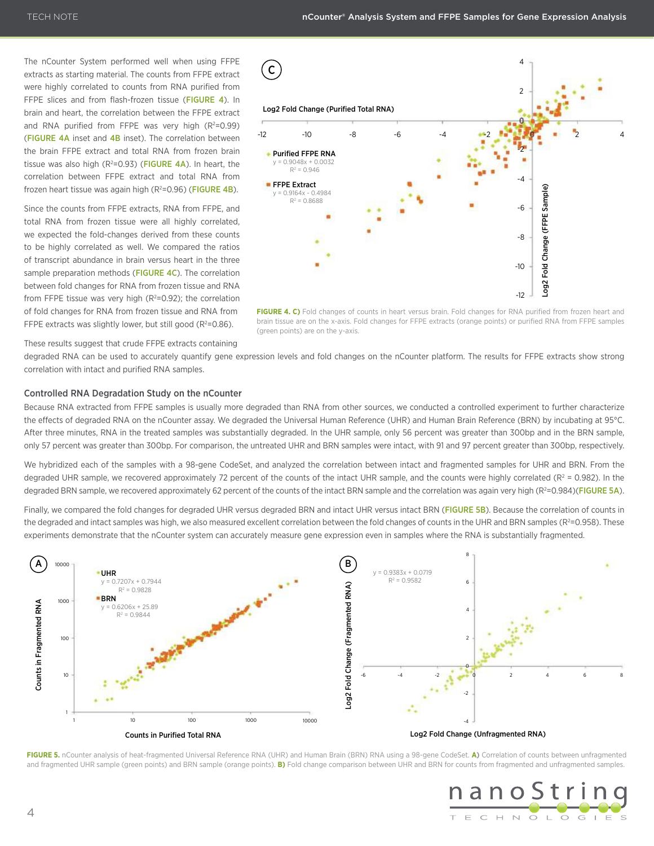The nCounter System performed well when using FFPE extracts as starting material. The counts from FFPE extract were highly correlated to counts from RNA purified from FFPE slices and from flash-frozen tissue (FIGURE 4). In brain and heart, the correlation between the FFPE extract and RNA purified from FFPE was very high  $(R^2=0.99)$ (FIGURE 4A inset and 4B inset). The correlation between the brain FFPE extract and total RNA from frozen brain tissue was also high  $(R^2=0.93)$  (FIGURE 4A). In heart, the correlation between FFPE extract and total RNA from frozen heart tissue was again high  $(R^2=0.96)$  (FIGURE 4B).

Since the counts from FFPE extracts, RNA from FFPE, and total RNA from frozen tissue were all highly correlated, we expected the fold-changes derived from these counts to be highly correlated as well. We compared the ratios of transcript abundance in brain versus heart in the three sample preparation methods (FIGURE 4C). The correlation between fold changes for RNA from frozen tissue and RNA from FFPE tissue was very high ( $R^2$ =0.92); the correlation of fold changes for RNA from frozen tissue and RNA from FFPE extracts was slightly lower, but still good ( $R^2$ =0.86).



**FIGURE 4. C)** Fold changes of counts in heart versus brain. Fold changes for RNA purified from frozen heart and brain tissue are on the x-axis. Fold changes for FFPE extracts (orange points) or purified RNA from FFPE samples (green points) are on the y-axis.

These results suggest that crude FFPE extracts containing

degraded RNA can be used to accurately quantify gene expression levels and fold changes on the nCounter platform. The results for FFPE extracts show strong correlation with intact and purified RNA samples.

#### Controlled RNA Degradation Study on the nCounter

Because RNA extracted from FFPE samples is usually more degraded than RNA from other sources, we conducted a controlled experiment to further characterize the effects of degraded RNA on the nCounter assay. We degraded the Universal Human Reference (UHR) and Human Brain Reference (BRN) by incubating at 95°C. After three minutes, RNA in the treated samples was substantially degraded. In the UHR sample, only 56 percent was greater than 300bp and in the BRN sample, only 57 percent was greater than 300bp. For comparison, the untreated UHR and BRN samples were intact, with 91 and 97 percent greater than 300bp, respectively.

We hybridized each of the samples with a 98-gene CodeSet, and analyzed the correlation between intact and fragmented samples for UHR and BRN. From the degraded UHR sample, we recovered approximately 72 percent of the counts of the intact UHR sample, and the counts were highly correlated ( $R^2$  = 0.982). In the degraded BRN sample, we recovered approximately 62 percent of the counts of the intact BRN sample and the correlation was again very high (R<sup>2</sup>=0.984)(FIGURE 5A).

Finally, we compared the fold changes for degraded UHR versus degraded BRN and intact UHR versus intact BRN (FIGURE 5B). Because the correlation of counts in the degraded and intact samples was high, we also measured excellent correlation between the fold changes of counts in the UHR and BRN samples (R<sup>2</sup>=0.958). These experiments demonstrate that the nCounter system can accurately measure gene expression even in samples where the RNA is substantially fragmented.



**FIGURE 5.** nCounter analysis of heat-fragmented Universal Reference RNA (UHR) and Human Brain (BRN) RNA using a 98-gene CodeSet. **A)** Correlation of counts between unfragmented and fragmented UHR sample (green points) and BRN sample (orange points). **B)** Fold change comparison between UHR and BRN for counts from fragmented and unfragmented samples.

> nanoStrino T E C H N O L O G I E